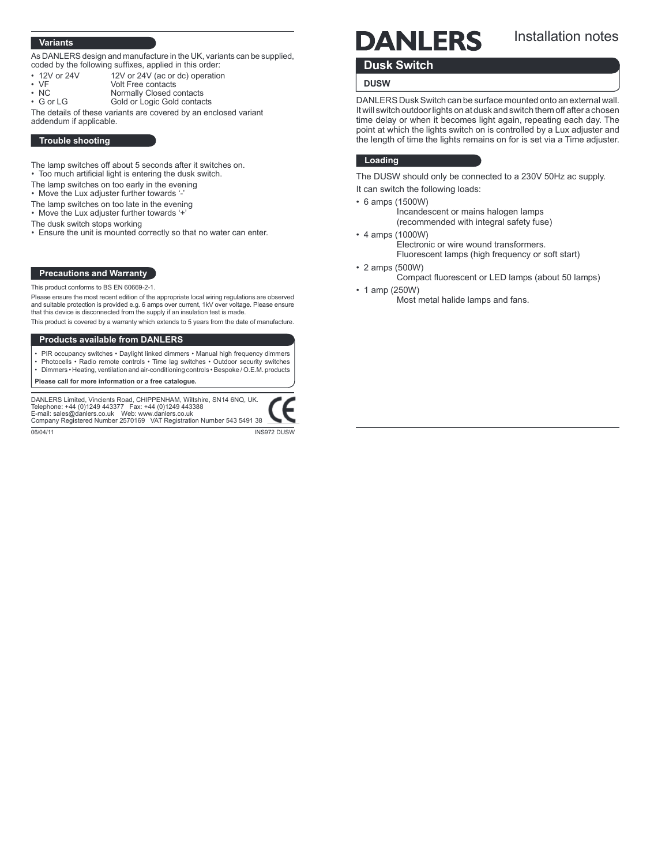## Variants

As DANLERS design and manufacture in the UK, variants can be supplied, coded by the following suffixes, applied in this order:

- 12V or 24V 12V or 24V (ac or dc) operation<br>• VF Volt Free contacts
- VF Volt Free contacts
- 
- NC Normally Closed contacts<br>• G or LG Gold or Logic Gold contact Gold or Logic Gold contacts

The details of these variants are covered by an enclosed variant addendum if applicable.

#### Trouble shooting

- The lamp switches off about 5 seconds after it switches on.
- Too much artificial light is entering the dusk switch.
- The lamp switches on too early in the evening
- Move the Lux adjuster further towards '-'
- The lamp switches on too late in the evening
- Move the Lux adjuster further towards '+'
- The dusk switch stops working
- Ensure the unit is mounted correctly so that no water can enter.

## Precautions and Warranty

This product conforms to BS EN 60669-2-1.

Please ensure the most recent edition of the appropriate local wiring regulations are observed and suitable protection is provided e.g. 6 amps over current, 1kV over voltage. Please ensure that this device is disconnected from the supply if an insulation test is made.

This product is covered by a warranty which extends to 5 years from the date of manufacture.

# Products available from DANLERS

- PIR occupancy switches Daylight linked dimmers Manual high frequency dimmers
- Photocells Radio remote controls Time lag switches Outdoor security switches • Dimmers • Heating, ventilation and air-conditioning controls • Bespoke / O.E.M. products

Please call for more information or a free catalogue.

DANLERS Limited, Vincients Road, CHIPPENHAM, Wiltshire, SN14 6NQ, UK.<br>Telephone: +44 (0)1249 443377 Fax: +44 (0)1249 443388<br>E-mail: sales@danlers.co.uk Web: www.danlers.co.uk Company Registered Number 2570169 VAT Registration Number 543 5491 38

06/04/11 INS972 DUSW

# DANLERS

# Installation notes

# Dusk Switch

# **DUSW**

DANLERS Dusk Switch can be surface mounted onto an external wall. It will switch outdoor lights on at dusk and switch them off after a chosen time delay or when it becomes light again, repeating each day. The point at which the lights switch on is controlled by a Lux adjuster and the length of time the lights remains on for is set via a Time adjuster.

# Loading

The DUSW should only be connected to a 230V 50Hz ac supply.

It can switch the following loads:

- 6 amps (1500W)
	- Incandescent or mains halogen lamps (recommended with integral safety fuse)
- 4 amps (1000W)
- Electronic or wire wound transformers. Fluorescent lamps (high frequency or soft start) • 2 amps (500W)
	- Compact fluorescent or LED lamps (about 50 lamps)
- 1 amp (250W)
	- Most metal halide lamps and fans.